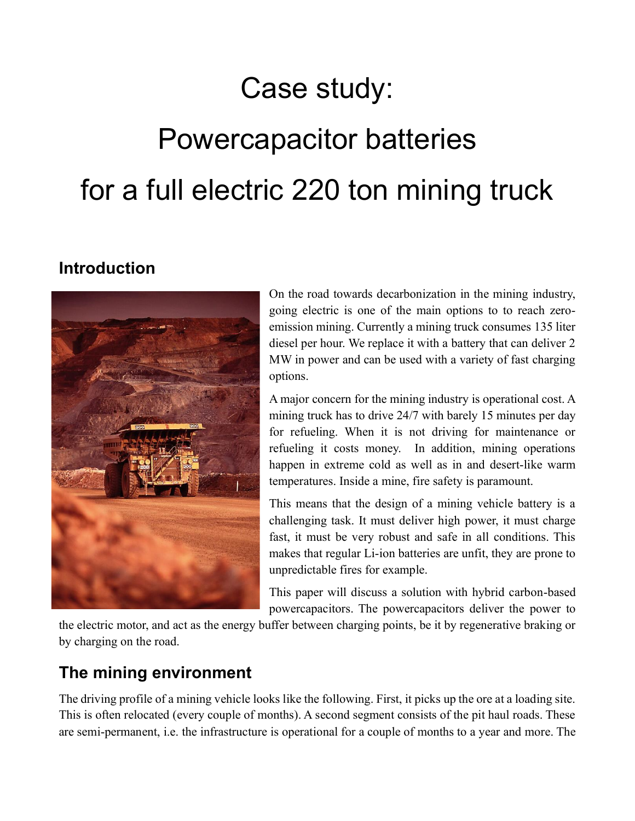# Case study:

# Powercapacitor batteries for a full electric 220 ton mining truck

#### **Introduction**



On the road towards decarbonization in the mining industry, going electric is one of the main options to to reach zeroemission mining. Currently a mining truck consumes 135 liter diesel per hour. We replace it with a battery that can deliver 2 MW in power and can be used with a variety of fast charging options.

A major concern for the mining industry is operational cost. A mining truck has to drive 24/7 with barely 15 minutes per day for refueling. When it is not driving for maintenance or refueling it costs money. In addition, mining operations happen in extreme cold as well as in and desert-like warm temperatures. Inside a mine, fire safety is paramount.

This means that the design of a mining vehicle battery is a challenging task. It must deliver high power, it must charge fast, it must be very robust and safe in all conditions. This makes that regular Li-ion batteries are unfit, they are prone to unpredictable fires for example.

This paper will discuss a solution with hybrid carbon-based powercapacitors. The powercapacitors deliver the power to

the electric motor, and act as the energy buffer between charging points, be it by regenerative braking or by charging on the road.

#### **The mining environment**

The driving profile of a mining vehicle looks like the following. First, it picks up the ore at a loading site. This is often relocated (every couple of months). A second segment consists of the pit haul roads. These are semi-permanent, i.e. the infrastructure is operational for a couple of months to a year and more. The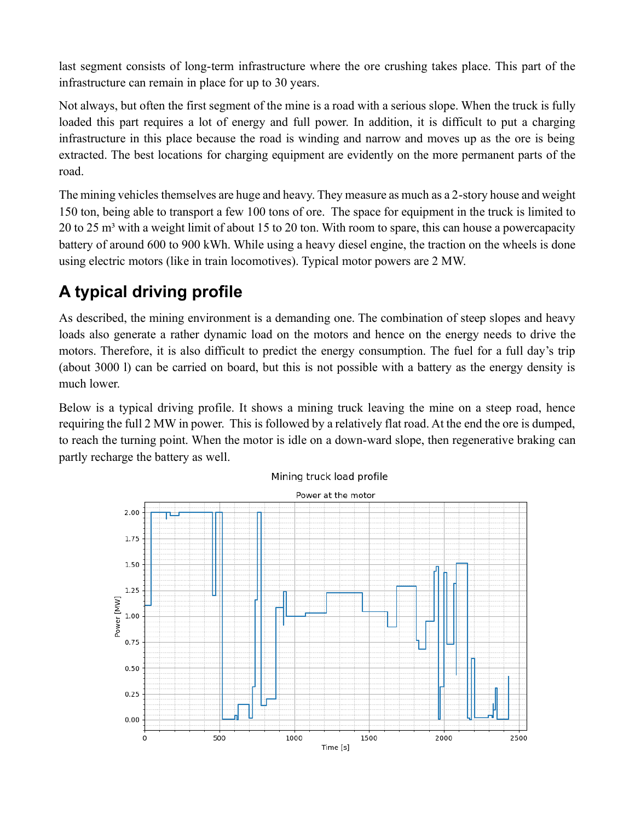last segment consists of long-term infrastructure where the ore crushing takes place. This part of the infrastructure can remain in place for up to 30 years.

Not always, but often the first segment of the mine is a road with a serious slope. When the truck is fully loaded this part requires a lot of energy and full power. In addition, it is difficult to put a charging infrastructure in this place because the road is winding and narrow and moves up as the ore is being extracted. The best locations for charging equipment are evidently on the more permanent parts of the road.

The mining vehicles themselves are huge and heavy. They measure as much as a 2-story house and weight 150 ton, being able to transport a few 100 tons of ore. The space for equipment in the truck is limited to 20 to 25  $m<sup>3</sup>$  with a weight limit of about 15 to 20 ton. With room to spare, this can house a powercapacity battery of around 600 to 900 kWh. While using a heavy diesel engine, the traction on the wheels is done using electric motors (like in train locomotives). Typical motor powers are 2 MW.

## **A typical driving profile**

As described, the mining environment is a demanding one. The combination of steep slopes and heavy loads also generate a rather dynamic load on the motors and hence on the energy needs to drive the motors. Therefore, it is also difficult to predict the energy consumption. The fuel for a full day's trip (about 3000 l) can be carried on board, but this is not possible with a battery as the energy density is much lower.

Below is a typical driving profile. It shows a mining truck leaving the mine on a steep road, hence requiring the full 2 MW in power. This is followed by a relatively flat road. At the end the ore is dumped, to reach the turning point. When the motor is idle on a down-ward slope, then regenerative braking can partly recharge the battery as well.



Mining truck load profile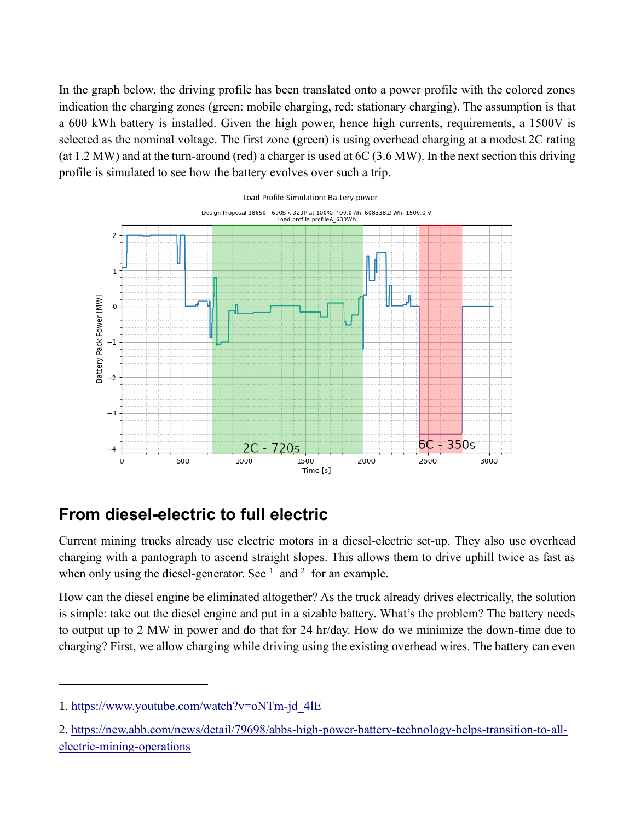In the graph below, the driving profile has been translated onto a power profile with the colored zones indication the charging zones (green: mobile charging, red: stationary charging). The assumption is that a 600 kWh battery is installed. Given the high power, hence high currents, requirements, a 1500V is selected as the nominal voltage. The first zone (green) is using overhead charging at a modest 2C rating (at 1.2 MW) and at the turn-around (red) a charger is used at 6C (3.6 MW). In the next section this driving profile is simulated to see how the battery evolves over such a trip.



#### **From diesel-electric to full electric**

Current mining trucks already use electric motors in a diesel-electric set-up. They also use overhead charging with a pantograph to ascend straight slopes. This allows them to drive uphill twice as fast as when only using the diesel-generator. See  $<sup>1</sup>$  [and](https://www.youtube.com/watch?v=oNTm-jd_4lE)  $<sup>2</sup>$  [for an example.](https://new.abb.com/news/detail/79698/abbs-high-power-battery-technology-helps-transition-to-all-electric-mining-operations)</sup></sup>

How can the diesel engine be eliminated altogether? As the truck already drives electrically, the solution is simple: take out the diesel engine and put in a sizable battery. What's the problem? The battery needs to output up to 2 MW in power and do that for 24 hr/day. How do we minimize the down-time due to charging? First, we allow charging while driving using the existing overhead wires. The battery can even

<sup>1.</sup> [https://www.youtube.com/watch?v=oNTm-jd\\_4lE](https://www.youtube.com/watch?v=oNTm-jd_4lE)

<sup>2.</sup> [https://new.abb.com/news/detail/79698/abbs-high-power-battery-technology-helps-transition-to-all](https://new.abb.com/news/detail/79698/abbs-high-power-battery-technology-helps-transition-to-all-electric-mining-operations)[electric-mining-operations](https://new.abb.com/news/detail/79698/abbs-high-power-battery-technology-helps-transition-to-all-electric-mining-operations)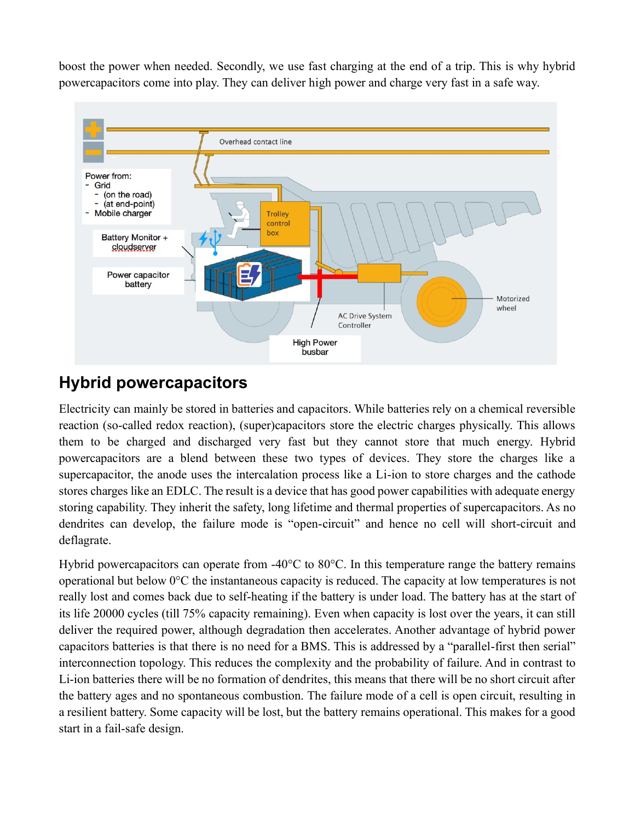boost the power when needed. Secondly, we use fast charging at the end of a trip. This is why hybrid powercapacitors come into play. They can deliver high power and charge very fast in a safe way.



#### **Hybrid powercapacitors**

Electricity can mainly be stored in batteries and capacitors. While batteries rely on a chemical reversible reaction (so-called redox reaction), (super)capacitors store the electric charges physically. This allows them to be charged and discharged very fast but they cannot store that much energy. Hybrid powercapacitors are a blend between these two types of devices. They store the charges like a supercapacitor, the anode uses the intercalation process like a Li-ion to store charges and the cathode stores charges like an EDLC. The result is a device that has good power capabilities with adequate energy storing capability. They inherit the safety, long lifetime and thermal properties of supercapacitors. As no dendrites can develop, the failure mode is "open-circuit" and hence no cell will short-circuit and deflagrate.

Hybrid powercapacitors can operate from -40°C to 80°C. In this temperature range the battery remains operational but below 0°C the instantaneous capacity is reduced. The capacity at low temperatures is not really lost and comes back due to self-heating if the battery is under load. The battery has at the start of its life 20000 cycles (till 75% capacity remaining). Even when capacity is lost over the years, it can still deliver the required power, although degradation then accelerates. Another advantage of hybrid power capacitors batteries is that there is no need for a BMS. This is addressed by a "parallel-first then serial" interconnection topology. This reduces the complexity and the probability of failure. And in contrast to Li-ion batteries there will be no formation of dendrites, this means that there will be no short circuit after the battery ages and no spontaneous combustion. The failure mode of a cell is open circuit, resulting in a resilient battery. Some capacity will be lost, but the battery remains operational. This makes for a good start in a fail-safe design.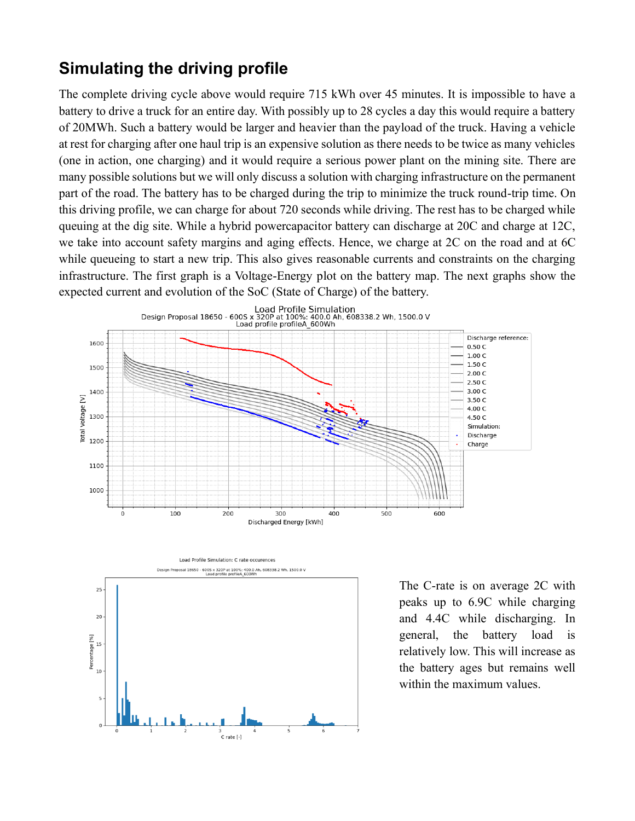#### **Simulating the driving profile**

The complete driving cycle above would require 715 kWh over 45 minutes. It is impossible to have a battery to drive a truck for an entire day. With possibly up to 28 cycles a day this would require a battery of 20MWh. Such a battery would be larger and heavier than the payload of the truck. Having a vehicle at rest for charging after one haul trip is an expensive solution as there needs to be twice as many vehicles (one in action, one charging) and it would require a serious power plant on the mining site. There are many possible solutions but we will only discuss a solution with charging infrastructure on the permanent part of the road. The battery has to be charged during the trip to minimize the truck round-trip time. On this driving profile, we can charge for about 720 seconds while driving. The rest has to be charged while queuing at the dig site. While a hybrid powercapacitor battery can discharge at 20C and charge at 12C, we take into account safety margins and aging effects. Hence, we charge at 2C on the road and at 6C while queueing to start a new trip. This also gives reasonable currents and constraints on the charging infrastructure. The first graph is a Voltage-Energy plot on the battery map. The next graphs show the expected current and evolution of the SoC (State of Charge) of the battery.





The C-rate is on average 2C with peaks up to 6.9C while charging and 4.4C while discharging. In general, the battery load is relatively low. This will increase as the battery ages but remains well within the maximum values.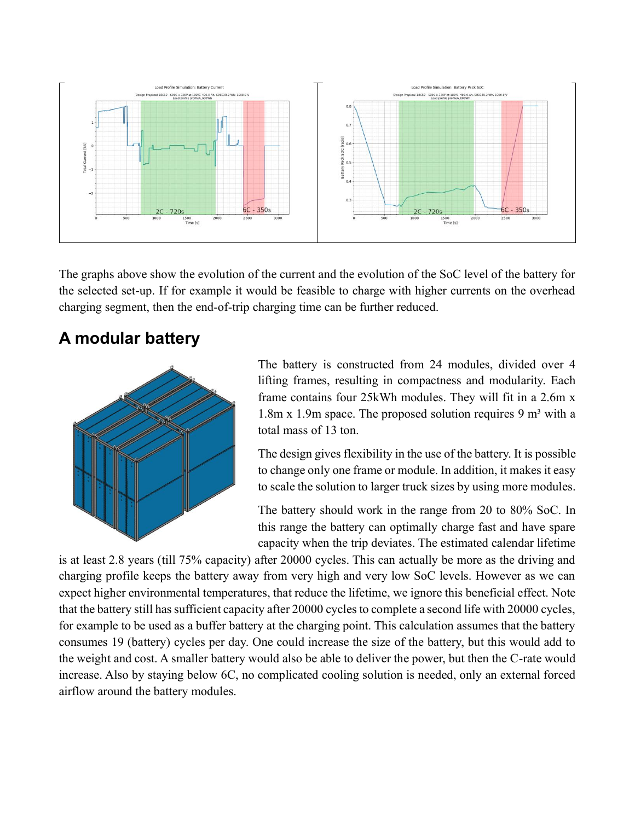

The graphs above show the evolution of the current and the evolution of the SoC level of the battery for the selected set-up. If for example it would be feasible to charge with higher currents on the overhead charging segment, then the end-of-trip charging time can be further reduced.

### **A modular battery**



The battery is constructed from 24 modules, divided over 4 lifting frames, resulting in compactness and modularity. Each frame contains four 25kWh modules. They will fit in a 2.6m x 1.8m x 1.9m space. The proposed solution requires 9  $m<sup>3</sup>$  with a total mass of 13 ton.

The design gives flexibility in the use of the battery. It is possible to change only one frame or module. In addition, it makes it easy to scale the solution to larger truck sizes by using more modules.

The battery should work in the range from 20 to 80% SoC. In this range the battery can optimally charge fast and have spare capacity when the trip deviates. The estimated calendar lifetime

is at least 2.8 years (till 75% capacity) after 20000 cycles. This can actually be more as the driving and charging profile keeps the battery away from very high and very low SoC levels. However as we can expect higher environmental temperatures, that reduce the lifetime, we ignore this beneficial effect. Note that the battery still has sufficient capacity after 20000 cycles to complete a second life with 20000 cycles, for example to be used as a buffer battery at the charging point. This calculation assumes that the battery consumes 19 (battery) cycles per day. One could increase the size of the battery, but this would add to the weight and cost. A smaller battery would also be able to deliver the power, but then the C-rate would increase. Also by staying below 6C, no complicated cooling solution is needed, only an external forced airflow around the battery modules.